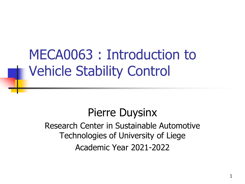MECA0063 : Introduction to Vehicle Stability Control

Pierre Duysinx Research Center in Sustainable Automotive Technologies of University of Liege Academic Year 2021-2022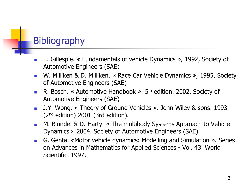### **Bibliography**

- T. Gillespie. « Fundamentals of vehicle Dynamics », 1992, Society of Automotive Engineers (SAE)
- W. Milliken & D. Milliken. « Race Car Vehicle Dynamics », 1995, Society of Automotive Engineers (SAE)
- **R. Bosch.** « Automotive Handbook ».  $5<sup>th</sup>$  edition. 2002. Society of Automotive Engineers (SAE)
- J.Y. Wong. « Theory of Ground Vehicles ». John Wiley & sons. 1993  $(2<sup>nd</sup>$  edition) 2001 (3rd edition).
- M. Blundel & D. Harty. « The multibody Systems Approach to Vehicle Dynamics » 2004. Society of Automotive Engineers (SAE)
- G. Genta. «Motor vehicle dynamics: Modelling and Simulation ». Series on Advances in Mathematics for Applied Sciences - Vol. 43. World Scientific. 1997.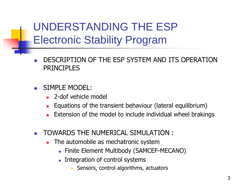UNDERSTANDING THE ESP Electronic Stability Program

DESCRIPTION OF THE ESP SYSTEM AND ITS OPERATION PRINCIPLES

### SIMPLE MODEL:

- 2-dof vehicle model
- Equations of the transient behaviour (lateral equilibrium)
- Extension of the model to include individual wheel brakings
- TOWARDS THE NUMERICAL SIMULATION :
	- The automobile as mechatronic system
		- Finite Element Multibody (SAMCEF-MECANO)
		- Integration of control systems
			- Sensors, control algorithms, actuators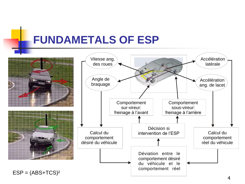## **FUNDAMETALS OF ESP**

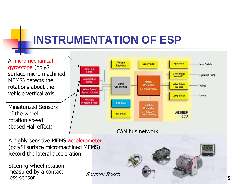# **INSTRUMENTATION OF ESP**

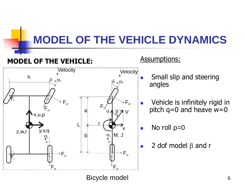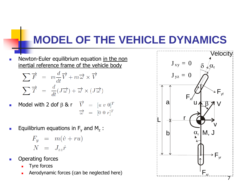Newton-Euler equilibrium equation in the non inertial reference frame of the vehicle body

$$
\sum \overrightarrow{F} = m \frac{d}{dt} \overrightarrow{V} + m \overrightarrow{\omega} \times \overrightarrow{V}
$$

$$
\sum \overrightarrow{T} = \frac{d}{dt} (J \overrightarrow{\omega}) + \overrightarrow{\omega} \times (J \overrightarrow{\omega})
$$

- Model with 2 dof  $\beta$  & r  $\vec{v} = [u \ v \ 0]^T$  $\vec{\omega} = [0 \ 0 \ r]^T$
- **E**quilibrium equations in  $F_y$  and  $M_z$ :

$$
F_y = m(\dot{v} + ru)
$$
  

$$
N = J_{zz}\dot{r}
$$

- Operating forces
	- Tyre forces
	- Aerodynamic forces (can be neglected here)

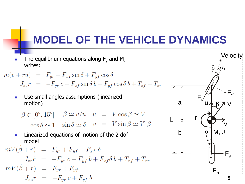The equilibrium equations along  $F_v$  and  $M_z$ writes:

 $m(\dot{v} + ru) = F_{yr} + F_{xf} \sin \delta + F_{yf} \cos \delta$  $J_{zz}\dot{r} = -F_{yr}c + F_{xf}\sin\delta b + F_{yf}\cos\delta b + T_{zf} + T_{zr}$ 

■ Use small angles assumptions (linearized motion)

 $\beta \in [0^{\circ}, 15^{\circ}]$   $\beta \simeq v/u$   $u = V \cos \beta \simeq V$  $\cos \delta \simeq 1 \quad \sin \delta \simeq \delta$ .  $v = V \sin \beta \simeq V \beta$ 

<sup>◼</sup> Linearized equations of motion of the 2 dof model

$$
mV(\dot{\beta} + r) = F_{yr} + F_{yf} + F_{xf} \delta
$$
  
\n
$$
J_{zz}\dot{r} = -F_{yr}c + F_{yf}b + F_{xf}\delta b + T_{zf} + T_{zr}
$$
  
\n
$$
mV(\dot{\beta} + r) = F_{yr} + F_{yf}
$$
  
\n
$$
J_{zz}\dot{r} = -F_{yr}c + F_{yf}b
$$

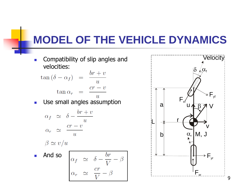■ Compatibility of slip angles and velocities:  $\mathbf{r}$ 

$$
\tan (\delta - \alpha_f) = \frac{br + v}{u}
$$

$$
\tan \alpha_r = \frac{cr - v}{u}
$$

■ Use small angles assumption

$$
\alpha_f \simeq \delta - \frac{br + v}{u}
$$

$$
\alpha_r \simeq \frac{cr - v}{u}
$$

$$
\beta \simeq v/u
$$

■ And so br  $\begin{vmatrix} \alpha_f & \simeq & \delta - \frac{\sigma}{V} \\ cr & \alpha \end{vmatrix}$  $\alpha_r$ 

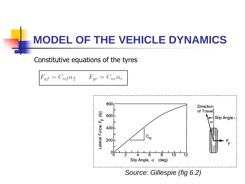Constitutive equations of the tyres

$$
F_{yf} = C_{\alpha f} \alpha_f \qquad F_{yr} = C_{\alpha r} \alpha_r
$$

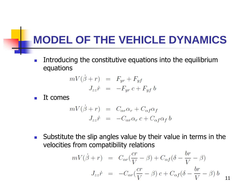**■** Introducing the constitutive equations into the equilibrium equations

$$
mV(\dot{\beta} + r) = F_{yr} + F_{yf}
$$

$$
J_{zz}\dot{r} = -F_{yr}c + F_{yf}b
$$

 $\blacksquare$  It comes

$$
mV(\dot{\beta} + r) = C_{\alpha r} \alpha_r + C_{\alpha f} \alpha_f
$$

$$
J_{zz}\dot{r} = -C_{\alpha r} \alpha_r c + C_{\alpha f} \alpha_f b
$$

■ Substitute the slip angles value by their value in terms in the velocities from compatibility relations

$$
mV(\dot{\beta} + r) = C_{\alpha r}(\frac{cr}{V} - \beta) + C_{\alpha f}(\delta - \frac{br}{V} - \beta)
$$

$$
J_{zz}\dot{r} = -C_{\alpha r}(\frac{cr}{V} - \beta) c + C_{\alpha f}(\delta - \frac{br}{V} - \beta) b
$$
11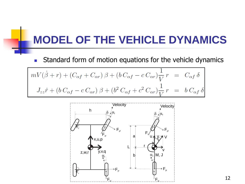■ Standard form of motion equations for the vehicle dynamics

$$
mV(\dot{\beta} + r) + (C_{\alpha f} + C_{\alpha r}) \beta + (b C_{\alpha f} - c C_{\alpha r}) \frac{1}{V} r = C_{\alpha f} \delta
$$
  

$$
J_{zz}\dot{r} + (b C_{\alpha f} - c C_{\alpha r}) \beta + (b^2 C_{\alpha f} + c^2 C_{\alpha r}) \frac{1}{V} r = b C_{\alpha f} \delta
$$

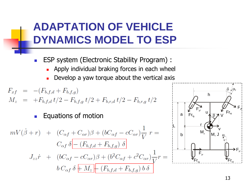## **ADAPTATION OF VEHICLE DYNAMICS MODEL TO ESP**

- ESP system (Electronic Stability Program) :
	- Apply individual braking forces in each wheel
	- Develop a yaw torque about the vertical axis

$$
F_{xf} = -(F_{b,f,d} + F_{b,f,g})
$$
  
\n
$$
M_z = +F_{b,f,d} t/2 - F_{b,f,g} t/2 + F_{b,r,d} t/2 - F_{b,r,g} t/2
$$

#### <sup>◼</sup> Equations of motion

$$
mV(\dot{\beta} + r) + (C_{\alpha f} + C_{\alpha r})\beta + (bC_{\alpha f} - cC_{\alpha r})\frac{1}{V}r =
$$
  
\n
$$
C_{\alpha f} \delta - (F_{b,f,d} + F_{b,f,g}) \delta
$$
  
\n
$$
J_{zz}\dot{r} + (bC_{\alpha f} - cC_{\alpha r})\beta + (b^2C_{\alpha f} + c^2C_{\alpha r})\frac{1}{V}r =
$$
  
\n
$$
b C_{\alpha f} \delta + M_z + (F_{b,f,d} + F_{b,f,g}) b \delta
$$

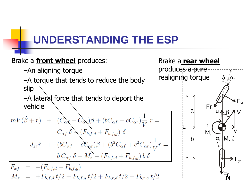## **UNDERSTANDING THE ESP**

### Brake a **front wheel** produces: –An aligning torque

–A torque that tends to reduce the body slip

–A lateral force that tends to deport the vehicle

$$
mV(\dot{\beta} + r) + (C_{\alpha x} + C_{\alpha x})\beta + (bC_{\alpha f} - cC_{\alpha r})\frac{1}{V}r =
$$
  
\n
$$
C_{\alpha f} \delta \times (F_{b,f,d} + F_{b,f,g}) \delta
$$
  
\n
$$
J_{zz}\dot{r} + (bC_{\alpha f} - c\alpha_{\alpha r})\beta + (b^2C_{\alpha f} + c^2C_{\alpha r})\frac{1}{V}r =
$$
  
\n
$$
b C_{\alpha f} \delta + M_z - (F_{b,f,d} + F_{b,f,g}) b \delta
$$

$$
F_{xf} = -(F_{b,f,d} + F_{b,f,g})
$$
  
\n
$$
M_z = +F_{b,f,d} t/2 - F_{b,f,g} t/2 + F_{b,r,d} t/2 - F_{b,r,g} t/2
$$

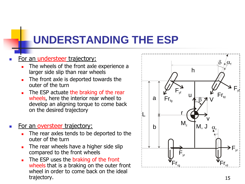## **UNDERSTANDING THE ESP**

#### **For an understeer trajectory:**

- The wheels of the front axle experience a larger side slip than rear wheels
- The front axle is deported towards the outer of the turn
- The ESP actuate the braking of the rear wheels, here the interior rear wheel to develop an aligning torque to come back on the desired trajectory

#### For an oversteer trajectory:

- The rear axles tends to be deported to the outer of the turn
- The rear wheels have a higher side slip compared to the front wheels
- The ESP uses the braking of the front wheels that is a braking on the outer front wheel in order to come back on the ideal trajectory. The state of the state of the state of the state of the state of the state of the state of the state of the state of the state of the state of the state of the state of the state of the state of the state of th

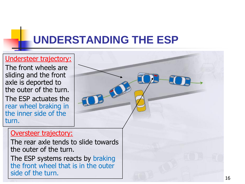# **UNDERSTANDING THE ESP**

### Understeer trajectory:

The front wheels are sliding and the front axle is deported to the outer of the turn.

The ESP actuates the rear wheel braking in the inner side of the turn.

#### Oversteer trajectory:

The rear axle tends to slide towards the outer of the turn.

The ESP systems reacts by braking the front wheel that is in the outer side of the turn.